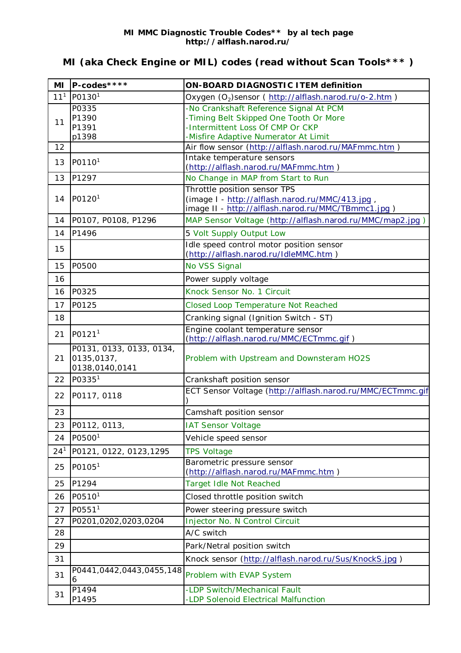## **MI (aka Check Engine or MIL) codes (read without Scan Tools\*\*\* )**

| MI              | P-codes****                                              | <b>ON-BOARD DIAGNOSTIC ITEM definition</b>                                                                                                                   |
|-----------------|----------------------------------------------------------|--------------------------------------------------------------------------------------------------------------------------------------------------------------|
| 11 <sup>1</sup> | P0130 <sup>1</sup>                                       | Oxygen (O <sub>2</sub> )sensor (http://alflash.narod.ru/o-2.htm)                                                                                             |
| 11              | P0335<br>P1390<br>P1391<br>p1398                         | -No Crankshaft Reference Signal At PCM<br>-Timing Belt Skipped One Tooth Or More<br>-Intermittent Loss Of CMP Or CKP<br>-Misfire Adaptive Numerator At Limit |
| 12              |                                                          | Air flow sensor (http://alflash.narod.ru/MAFmmc.htm)                                                                                                         |
| 13              | P0110 <sup>1</sup>                                       | Intake temperature sensors<br>(http://alflash.narod.ru/MAFmmc.htm)                                                                                           |
| 13              | P1297                                                    | No Change in MAP from Start to Run                                                                                                                           |
| 14              | P0120 <sup>1</sup>                                       | Throttle position sensor TPS<br>(image I - http://alflash.narod.ru/MMC/413.jpg,<br>image II - http://alflash.narod.ru/MMC/TBmmc1.jpg)                        |
| 14              | P0107, P0108, P1296                                      | MAP Sensor Voltage (http://alflash.narod.ru/MMC/map2.jpg)                                                                                                    |
| 14              | P1496                                                    | 5 Volt Supply Output Low                                                                                                                                     |
| 15              |                                                          | Idle speed control motor position sensor<br>(http://alflash.narod.ru/IdleMMC.htm)                                                                            |
| 15              | P0500                                                    | No VSS Signal                                                                                                                                                |
| 16              |                                                          | Power supply voltage                                                                                                                                         |
| 16              | P0325                                                    | Knock Sensor No. 1 Circuit                                                                                                                                   |
| 17              | P0125                                                    | Closed Loop Temperature Not Reached                                                                                                                          |
| 18              |                                                          | Cranking signal (Ignition Switch - ST)                                                                                                                       |
| 21              | P0121 <sup>1</sup>                                       | Engine coolant temperature sensor<br>(http://alflash.narod.ru/MMC/ECTmmc.gif)                                                                                |
| 21              | P0131, 0133, 0133, 0134,<br>0135,0137,<br>0138,0140,0141 | Problem with Upstream and Downsteram HO2S                                                                                                                    |
| 22              | P0335 <sup>1</sup>                                       | Crankshaft position sensor                                                                                                                                   |
| 22              | P0117, 0118                                              | ECT Sensor Voltage (http://alflash.narod.ru/MMC/ECTmmc.gif                                                                                                   |
| 23              |                                                          | Camshaft position sensor                                                                                                                                     |
| 23              | P0112, 0113,                                             | <b>IAT Sensor Voltage</b>                                                                                                                                    |
| 24              | P05001                                                   | Vehicle speed sensor                                                                                                                                         |
| $24^{1}$        | P0121, 0122, 0123, 1295                                  | <b>TPS Voltage</b>                                                                                                                                           |
| 25              | P0105 <sup>1</sup>                                       | Barometric pressure sensor<br>(http://alflash.narod.ru/MAFmmc.htm)                                                                                           |
| 25              | P1294                                                    | Target Idle Not Reached                                                                                                                                      |
| 26              | P0510 <sup>1</sup>                                       | Closed throttle position switch                                                                                                                              |
| 27              | P0551 <sup>1</sup>                                       | Power steering pressure switch                                                                                                                               |
| 27              | P0201,0202,0203,0204                                     | Injector No. N Control Circuit                                                                                                                               |
| 28              |                                                          | A/C switch                                                                                                                                                   |
| 29              |                                                          | Park/Netral position switch                                                                                                                                  |
| 31              |                                                          | Knock sensor (http://alflash.narod.ru/Sus/KnockS.jpg)                                                                                                        |
| 31              | P0441,0442,0443,0455,148<br>6                            | Problem with EVAP System                                                                                                                                     |
| 31              | P1494<br>P1495                                           | -LDP Switch/Mechanical Fault<br>-LDP Solenoid Electrical Malfunction                                                                                         |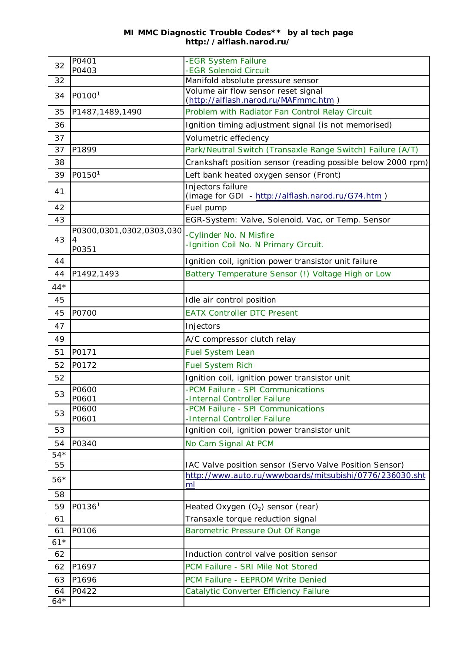## **MI MMC Diagnostic Trouble Codes\*\* by al tech page http://alflash.narod.ru/**

| 32          | P0401<br>P0403           | -EGR System Failure<br>-EGR Solenoid Circuit                                |
|-------------|--------------------------|-----------------------------------------------------------------------------|
| 32          |                          | Manifold absolute pressure sensor                                           |
|             |                          | Volume air flow sensor reset signal                                         |
| 34          | P0100 <sup>1</sup>       | (http://alflash.narod.ru/MAFmmc.htm)                                        |
| 35          | P1487,1489,1490          | Problem with Radiator Fan Control Relay Circuit                             |
| 36          |                          | Ignition timing adjustment signal (is not memorised)                        |
| 37          |                          | Volumetric effeciency                                                       |
| 37          | P1899                    | Park/Neutral Switch (Transaxle Range Switch) Failure (A/T)                  |
| 38          |                          | Crankshaft position sensor (reading possible below 2000 rpm)                |
| 39          | P0150 <sup>1</sup>       | Left bank heated oxygen sensor (Front)                                      |
| 41          |                          | Injectors failure                                                           |
|             |                          | (image for GDI - http://alflash.narod.ru/G74.htm)                           |
| 42          |                          | Fuel pump                                                                   |
| 43          |                          | EGR-System: Valve, Solenoid, Vac, or Temp. Sensor                           |
| 43          | P0300,0301,0302,0303,030 | -Cylinder No. N Misfire                                                     |
|             | P0351                    | -Ignition Coil No. N Primary Circuit.                                       |
| 44          |                          | Ignition coil, ignition power transistor unit failure                       |
| 44          | P1492,1493               | Battery Temperature Sensor (!) Voltage High or Low                          |
| $44*$       |                          |                                                                             |
| 45          |                          | Idle air control position                                                   |
| 45          | P0700                    | <b>EATX Controller DTC Present</b>                                          |
| 47          |                          | Injectors                                                                   |
| 49          |                          | A/C compressor clutch relay                                                 |
| 51          | P0171                    | <b>Fuel System Lean</b>                                                     |
| 52          | P0172                    | <b>Fuel System Rich</b>                                                     |
| 52          |                          | Ignition coil, ignition power transistor unit                               |
| 53          | P0600                    | -PCM Failure - SPI Communications                                           |
|             | P0601<br>P0600           | -Internal Controller Failure<br>-PCM Failure - SPI Communications           |
| 53          | P0601                    | -Internal Controller Failure                                                |
| 53          |                          | Ignition coil, ignition power transistor unit                               |
| 54          | P0340                    | No Cam Signal At PCM                                                        |
| $54*$       |                          |                                                                             |
| 55          |                          | IAC Valve position sensor (Servo Valve Position Sensor)                     |
| $56*$       |                          | http://www.auto.ru/wwwboards/mitsubishi/0776/236030.sht                     |
| 58          |                          | ml                                                                          |
| 59          | P0136 <sup>1</sup>       |                                                                             |
|             |                          | Heated Oxygen $(O_2)$ sensor (rear)                                         |
| 61          | P0106                    | Transaxle torque reduction signal                                           |
| 61<br>$61*$ |                          | Barometric Pressure Out Of Range                                            |
| 62          |                          | Induction control valve position sensor                                     |
| 62          | P1697                    | PCM Failure - SRI Mile Not Stored                                           |
|             |                          |                                                                             |
| 63<br>64    | P1696<br>P0422           | PCM Failure - EEPROM Write Denied<br>Catalytic Converter Efficiency Failure |
| $64*$       |                          |                                                                             |
|             |                          |                                                                             |